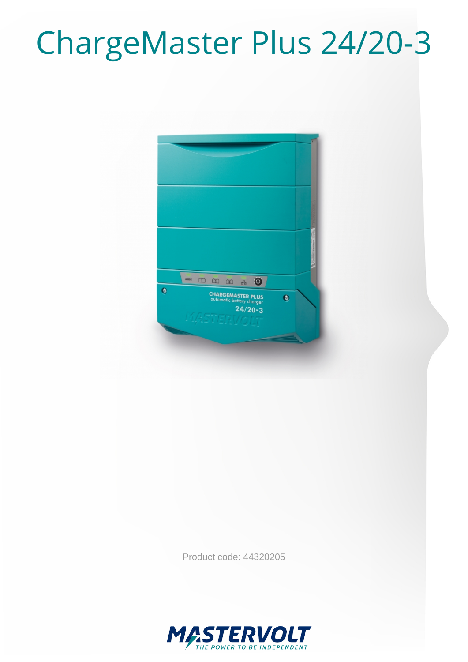# ChargeMaster Plus 24/20-3



Product code: 44320205

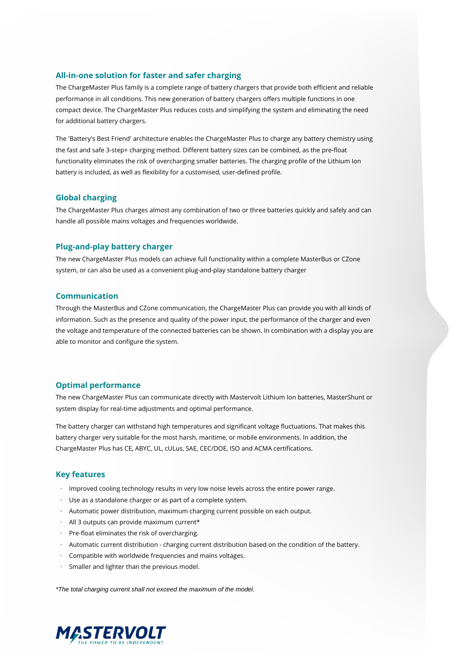#### **All-in-one solution for faster and safer charging**

The ChargeMaster Plus family is a complete range of battery chargers that provide both efficient and reliable performance in all conditions. This new generation of battery chargers offers multiple functions in one compact device. The ChargeMaster Plus reduces costs and simplifying the system and eliminating the need for additional battery chargers.

The 'Battery's Best Friend' architecture enables the ChargeMaster Plus to charge any battery chemistry using the fast and safe 3-step+ charging method. Different battery sizes can be combined, as the pre-float functionality eliminates the risk of overcharging smaller batteries. The charging profile of the Lithium Ion battery is included, as well as flexibility for a customised, user-defined profile.

#### **Global charging**

The ChargeMaster Plus charges almost any combination of two or three batteries quickly and safely and can handle all possible mains voltages and frequencies worldwide.

#### **Plug-and-play battery charger**

The new ChargeMaster Plus models can achieve full functionality within a complete MasterBus or CZone system, or can also be used as a convenient plug-and-play standalone battery charger

### **Communication**

Through the MasterBus and CZone communication, the ChargeMaster Plus can provide you with all kinds of information. Such as the presence and quality of the power input, the performance of the charger and even the voltage and temperature of the connected batteries can be shown. In combination with a display you are able to monitor and configure the system.

#### **Optimal performance**

The new ChargeMaster Plus can communicate directly with Mastervolt Lithium Ion batteries, MasterShunt or system display for real-time adjustments and optimal performance.

The battery charger can withstand high temperatures and significant voltage fluctuations. That makes this battery charger very suitable for the most harsh, maritime, or mobile environments. In addition, the ChargeMaster Plus has CE, ABYC, UL, cULus, SAE, CEC/DOE, ISO and ACMA certifications.

#### **Key features**

- · Improved cooling technology results in very low noise levels across the entire power range.
- · Use as a standalone charger or as part of a complete system.
- · Automatic power distribution, maximum charging current possible on each output.
- $\cdot$  All 3 outputs can provide maximum current\*
- · Pre-float eliminates the risk of overcharging.
- · Automatic current distribution charging current distribution based on the condition of the battery.
- · Compatible with worldwide frequencies and mains voltages.
- · Smaller and lighter than the previous model.

\*The total charging current shall not exceed the maximum of the model.